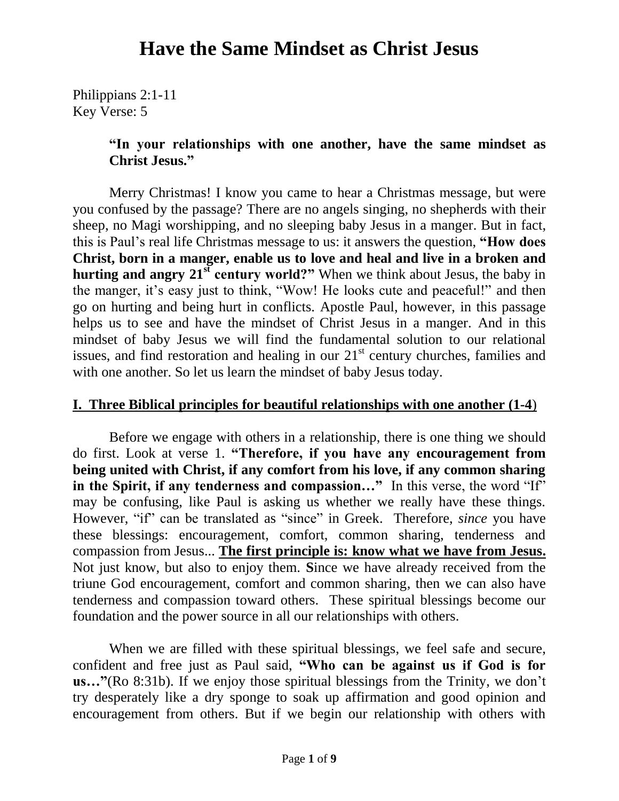Philippians 2:1-11 Key Verse: 5

#### **"In your relationships with one another, have the same mindset as Christ Jesus."**

Merry Christmas! I know you came to hear a Christmas message, but were you confused by the passage? There are no angels singing, no shepherds with their sheep, no Magi worshipping, and no sleeping baby Jesus in a manger. But in fact, this is Paul's real life Christmas message to us: it answers the question, **"How does Christ, born in a manger, enable us to love and heal and live in a broken and hurting and angry 21st century world?"** When we think about Jesus, the baby in the manger, it's easy just to think, "Wow! He looks cute and peaceful!" and then go on hurting and being hurt in conflicts. Apostle Paul, however, in this passage helps us to see and have the mindset of Christ Jesus in a manger. And in this mindset of baby Jesus we will find the fundamental solution to our relational issues, and find restoration and healing in our  $21<sup>st</sup>$  century churches, families and with one another. So let us learn the mindset of baby Jesus today.

#### **I. Three Biblical principles for beautiful relationships with one another (1-4**)

Before we engage with others in a relationship, there is one thing we should do first. Look at verse 1. **"Therefore, if you have any encouragement from being united with Christ, if any comfort from his love, if any common sharing**  in the Spirit, if any tenderness and compassion..." In this verse, the word "If" may be confusing, like Paul is asking us whether we really have these things. However, "if" can be translated as "since" in Greek. Therefore, *since* you have these blessings: encouragement, comfort, common sharing, tenderness and compassion from Jesus... **The first principle is: know what we have from Jesus.** Not just know, but also to enjoy them. **S**ince we have already received from the triune God encouragement, comfort and common sharing, then we can also have tenderness and compassion toward others. These spiritual blessings become our foundation and the power source in all our relationships with others.

When we are filled with these spiritual blessings, we feel safe and secure, confident and free just as Paul said, **"Who can be against us if God is for us…"**(Ro 8:31b). If we enjoy those spiritual blessings from the Trinity, we don't try desperately like a dry sponge to soak up affirmation and good opinion and encouragement from others. But if we begin our relationship with others with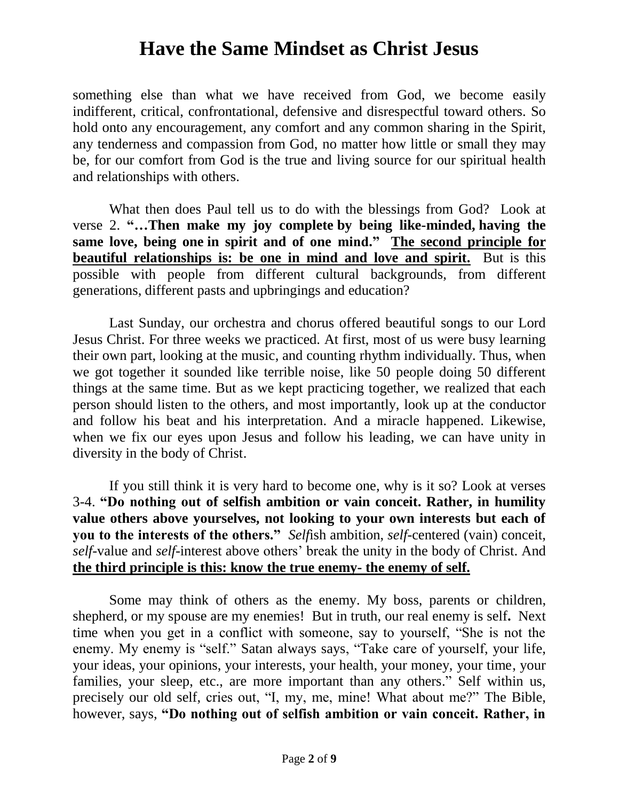something else than what we have received from God, we become easily indifferent, critical, confrontational, defensive and disrespectful toward others. So hold onto any encouragement, any comfort and any common sharing in the Spirit, any tenderness and compassion from God, no matter how little or small they may be, for our comfort from God is the true and living source for our spiritual health and relationships with others.

What then does Paul tell us to do with the blessings from God? Look at verse 2. **"…Then make my joy complete by being like-minded, having the same love, being one in spirit and of one mind." The second principle for beautiful relationships is: be one in mind and love and spirit.** But is this possible with people from different cultural backgrounds, from different generations, different pasts and upbringings and education?

Last Sunday, our orchestra and chorus offered beautiful songs to our Lord Jesus Christ. For three weeks we practiced. At first, most of us were busy learning their own part, looking at the music, and counting rhythm individually. Thus, when we got together it sounded like terrible noise, like 50 people doing 50 different things at the same time. But as we kept practicing together, we realized that each person should listen to the others, and most importantly, look up at the conductor and follow his beat and his interpretation. And a miracle happened. Likewise, when we fix our eyes upon Jesus and follow his leading, we can have unity in diversity in the body of Christ.

If you still think it is very hard to become one, why is it so? Look at verses 3-4. **"Do nothing out of selfish ambition or vain conceit. Rather, in humility value others above yourselves, not looking to your own interests but each of you to the interests of the others."** *Self*ish ambition, *self-*centered (vain) conceit, *self*-value and *self*-interest above others' break the unity in the body of Christ. And **the third principle is this: know the true enemy- the enemy of self.**

Some may think of others as the enemy. My boss, parents or children, shepherd, or my spouse are my enemies! But in truth, our real enemy is self**.** Next time when you get in a conflict with someone, say to yourself, "She is not the enemy. My enemy is "self." Satan always says, "Take care of yourself, your life, your ideas, your opinions, your interests, your health, your money, your time, your families, your sleep, etc., are more important than any others." Self within us, precisely our old self, cries out, "I, my, me, mine! What about me?" The Bible, however, says, **"Do nothing out of selfish ambition or vain conceit. Rather, in**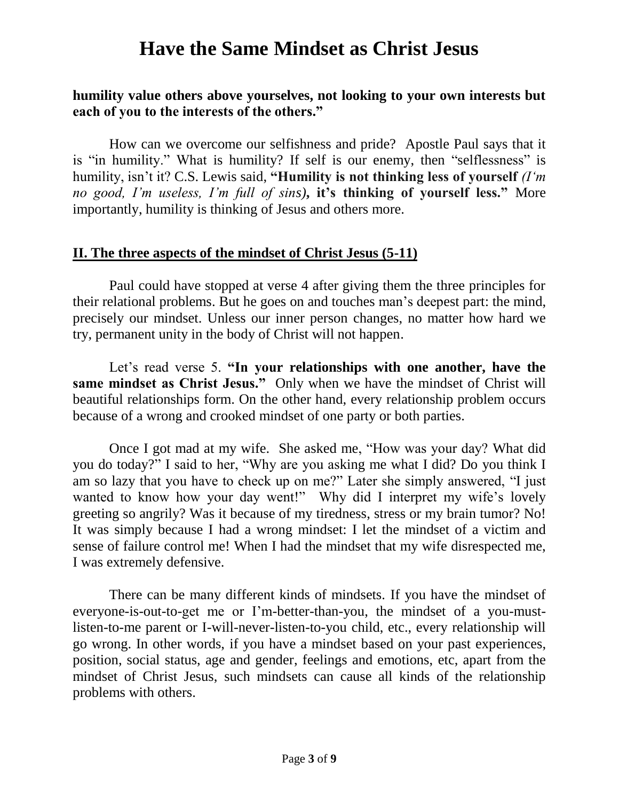#### **humility value others above yourselves, not looking to your own interests but each of you to the interests of the others."**

How can we overcome our selfishness and pride? Apostle Paul says that it is "in humility." What is humility? If self is our enemy, then "selflessness" is humility, isn't it? C.S. Lewis said, **"Humility is not thinking less of yourself** *(I'm no good, I'm useless, I'm full of sins)***, it's thinking of yourself less."** More importantly, humility is thinking of Jesus and others more.

#### **II. The three aspects of the mindset of Christ Jesus (5-11)**

Paul could have stopped at verse 4 after giving them the three principles for their relational problems. But he goes on and touches man's deepest part: the mind, precisely our mindset. Unless our inner person changes, no matter how hard we try, permanent unity in the body of Christ will not happen.

Let's read verse 5. **"In your relationships with one another, have the same mindset as Christ Jesus."** Only when we have the mindset of Christ will beautiful relationships form. On the other hand, every relationship problem occurs because of a wrong and crooked mindset of one party or both parties.

Once I got mad at my wife. She asked me, "How was your day? What did you do today?" I said to her, "Why are you asking me what I did? Do you think I am so lazy that you have to check up on me?" Later she simply answered, "I just wanted to know how your day went!" Why did I interpret my wife's lovely greeting so angrily? Was it because of my tiredness, stress or my brain tumor? No! It was simply because I had a wrong mindset: I let the mindset of a victim and sense of failure control me! When I had the mindset that my wife disrespected me, I was extremely defensive.

There can be many different kinds of mindsets. If you have the mindset of everyone-is-out-to-get me or I'm-better-than-you, the mindset of a you-mustlisten-to-me parent or I-will-never-listen-to-you child, etc., every relationship will go wrong. In other words, if you have a mindset based on your past experiences, position, social status, age and gender, feelings and emotions, etc, apart from the mindset of Christ Jesus, such mindsets can cause all kinds of the relationship problems with others.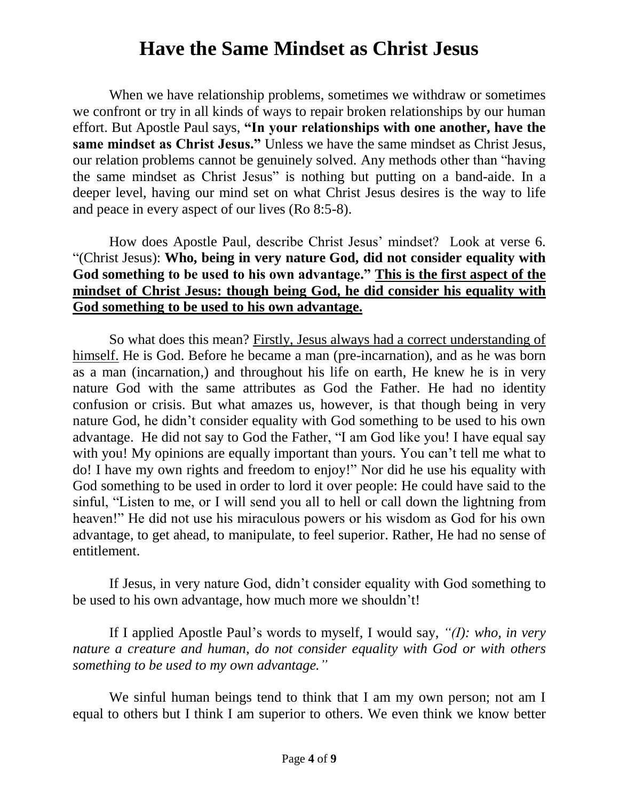When we have relationship problems, sometimes we withdraw or sometimes we confront or try in all kinds of ways to repair broken relationships by our human effort. But Apostle Paul says, **"In your relationships with one another, have the same mindset as Christ Jesus."** Unless we have the same mindset as Christ Jesus, our relation problems cannot be genuinely solved. Any methods other than "having the same mindset as Christ Jesus" is nothing but putting on a band-aide. In a deeper level, having our mind set on what Christ Jesus desires is the way to life and peace in every aspect of our lives (Ro 8:5-8).

How does Apostle Paul, describe Christ Jesus' mindset? Look at verse 6. "(Christ Jesus): **Who, being in very nature God, did not consider equality with God something to be used to his own advantage." This is the first aspect of the mindset of Christ Jesus: though being God, he did consider his equality with God something to be used to his own advantage.**

So what does this mean? Firstly, Jesus always had a correct understanding of himself. He is God. Before he became a man (pre-incarnation), and as he was born as a man (incarnation,) and throughout his life on earth, He knew he is in very nature God with the same attributes as God the Father. He had no identity confusion or crisis. But what amazes us, however, is that though being in very nature God, he didn't consider equality with God something to be used to his own advantage. He did not say to God the Father, "I am God like you! I have equal say with you! My opinions are equally important than yours. You can't tell me what to do! I have my own rights and freedom to enjoy!" Nor did he use his equality with God something to be used in order to lord it over people: He could have said to the sinful, "Listen to me, or I will send you all to hell or call down the lightning from heaven!" He did not use his miraculous powers or his wisdom as God for his own advantage, to get ahead, to manipulate, to feel superior. Rather, He had no sense of entitlement.

If Jesus, in very nature God, didn't consider equality with God something to be used to his own advantage, how much more we shouldn't!

If I applied Apostle Paul's words to myself, I would say, *"(I): who, in very nature a creature and human, do not consider equality with God or with others something to be used to my own advantage."*

We sinful human beings tend to think that I am my own person; not am I equal to others but I think I am superior to others. We even think we know better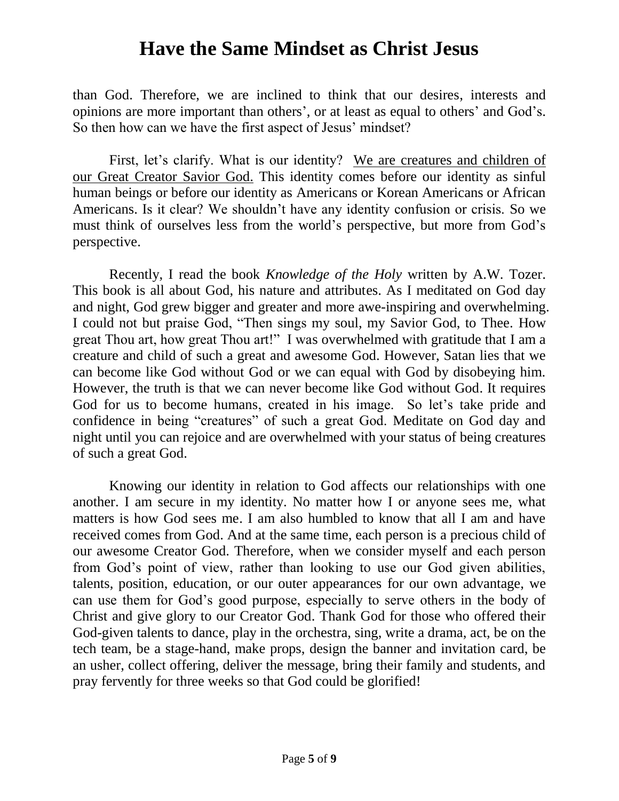than God. Therefore, we are inclined to think that our desires, interests and opinions are more important than others', or at least as equal to others' and God's. So then how can we have the first aspect of Jesus' mindset?

First, let's clarify. What is our identity? We are creatures and children of our Great Creator Savior God. This identity comes before our identity as sinful human beings or before our identity as Americans or Korean Americans or African Americans. Is it clear? We shouldn't have any identity confusion or crisis. So we must think of ourselves less from the world's perspective, but more from God's perspective.

Recently, I read the book *Knowledge of the Holy* written by A.W. Tozer. This book is all about God, his nature and attributes. As I meditated on God day and night, God grew bigger and greater and more awe-inspiring and overwhelming. I could not but praise God, "Then sings my soul, my Savior God, to Thee. How great Thou art, how great Thou art!" I was overwhelmed with gratitude that I am a creature and child of such a great and awesome God. However, Satan lies that we can become like God without God or we can equal with God by disobeying him. However, the truth is that we can never become like God without God. It requires God for us to become humans, created in his image. So let's take pride and confidence in being "creatures" of such a great God. Meditate on God day and night until you can rejoice and are overwhelmed with your status of being creatures of such a great God.

Knowing our identity in relation to God affects our relationships with one another. I am secure in my identity. No matter how I or anyone sees me, what matters is how God sees me. I am also humbled to know that all I am and have received comes from God. And at the same time, each person is a precious child of our awesome Creator God. Therefore, when we consider myself and each person from God's point of view, rather than looking to use our God given abilities, talents, position, education, or our outer appearances for our own advantage, we can use them for God's good purpose, especially to serve others in the body of Christ and give glory to our Creator God. Thank God for those who offered their God-given talents to dance, play in the orchestra, sing, write a drama, act, be on the tech team, be a stage-hand, make props, design the banner and invitation card, be an usher, collect offering, deliver the message, bring their family and students, and pray fervently for three weeks so that God could be glorified!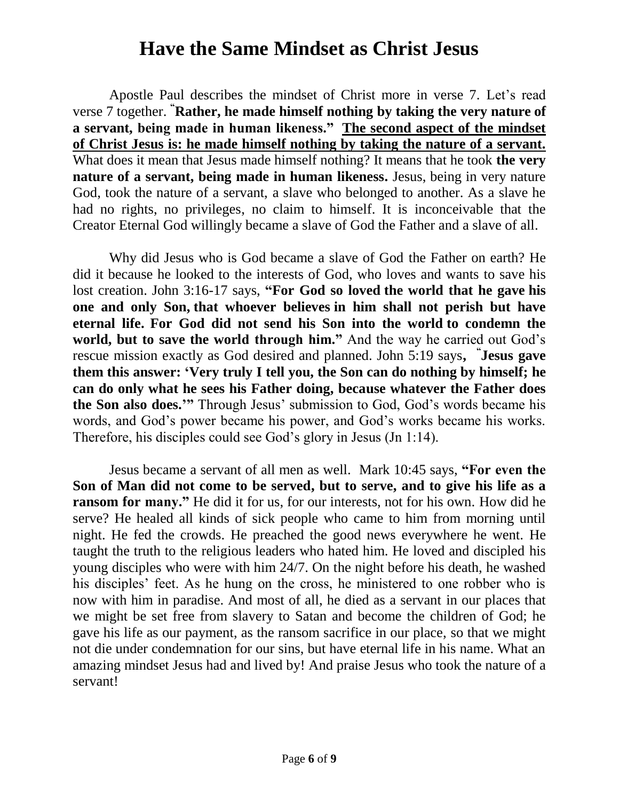Apostle Paul describes the mindset of Christ more in verse 7. Let's read verse 7 together. **"Rather, he made himself nothing by taking the very nature of a servant, being made in human likeness." The second aspect of the mindset of Christ Jesus is: he made himself nothing by taking the nature of a servant.** What does it mean that Jesus made himself nothing? It means that he took **the very nature of a servant, being made in human likeness.** Jesus, being in very nature God, took the nature of a servant, a slave who belonged to another. As a slave he had no rights, no privileges, no claim to himself. It is inconceivable that the Creator Eternal God willingly became a slave of God the Father and a slave of all.

Why did Jesus who is God became a slave of God the Father on earth? He did it because he looked to the interests of God, who loves and wants to save his lost creation. John 3:16-17 says, **"For God so loved the world that he gave his one and only Son, that whoever believes in him shall not perish but have eternal life. For God did not send his Son into the world to condemn the**  world, but to save the world through him." And the way he carried out God's rescue mission exactly as God desired and planned. John 5:19 says**, " Jesus gave them this answer: 'Very truly I tell you, the Son can do nothing by himself; he can do only what he sees his Father doing, because whatever the Father does the Son also does.'"** Through Jesus' submission to God, God's words became his words, and God's power became his power, and God's works became his works. Therefore, his disciples could see God's glory in Jesus (Jn 1:14).

Jesus became a servant of all men as well. Mark 10:45 says, **"For even the Son of Man did not come to be served, but to serve, and to give his life as a ransom for many."** He did it for us, for our interests, not for his own. How did he serve? He healed all kinds of sick people who came to him from morning until night. He fed the crowds. He preached the good news everywhere he went. He taught the truth to the religious leaders who hated him. He loved and discipled his young disciples who were with him 24/7. On the night before his death, he washed his disciples' feet. As he hung on the cross, he ministered to one robber who is now with him in paradise. And most of all, he died as a servant in our places that we might be set free from slavery to Satan and become the children of God; he gave his life as our payment, as the ransom sacrifice in our place, so that we might not die under condemnation for our sins, but have eternal life in his name. What an amazing mindset Jesus had and lived by! And praise Jesus who took the nature of a servant!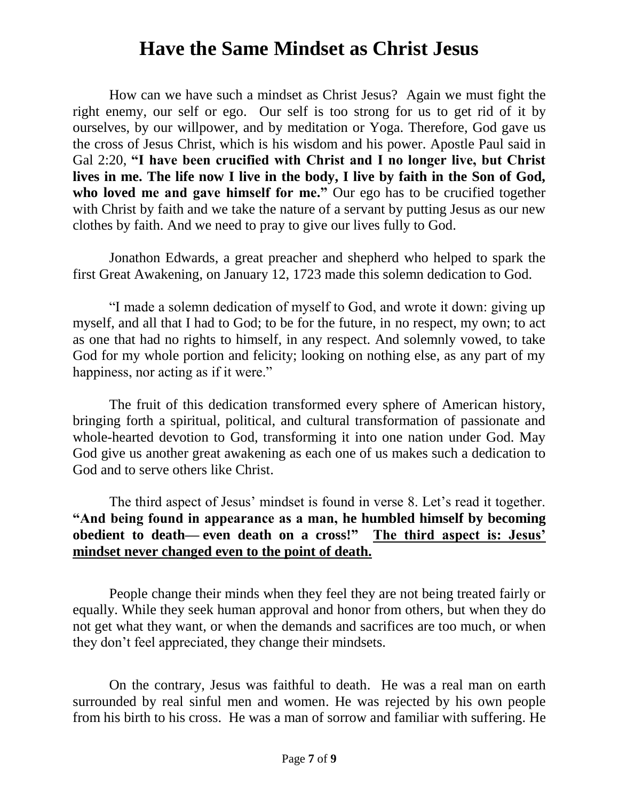How can we have such a mindset as Christ Jesus? Again we must fight the right enemy, our self or ego. Our self is too strong for us to get rid of it by ourselves, by our willpower, and by meditation or Yoga. Therefore, God gave us the cross of Jesus Christ, which is his wisdom and his power. Apostle Paul said in Gal 2:20, **"I have been crucified with Christ and I no longer live, but Christ lives in me. The life now I live in the body, I live by faith in the Son of God, who loved me and gave himself for me."** Our ego has to be crucified together with Christ by faith and we take the nature of a servant by putting Jesus as our new clothes by faith. And we need to pray to give our lives fully to God.

Jonathon Edwards, a great preacher and shepherd who helped to spark the first Great Awakening, on January 12, 1723 made this solemn dedication to God.

"I made a solemn dedication of myself to God, and wrote it down: giving up myself, and all that I had to God; to be for the future, in no respect, my own; to act as one that had no rights to himself, in any respect. And solemnly vowed, to take God for my whole portion and felicity; looking on nothing else, as any part of my happiness, nor acting as if it were."

The fruit of this dedication transformed every sphere of American history, bringing forth a spiritual, political, and cultural transformation of passionate and whole-hearted devotion to God, transforming it into one nation under God. May God give us another great awakening as each one of us makes such a dedication to God and to serve others like Christ.

The third aspect of Jesus' mindset is found in verse 8. Let's read it together. **"And being found in appearance as a man, he humbled himself by becoming obedient to death— even death on a cross!" The third aspect is: Jesus' mindset never changed even to the point of death.** 

People change their minds when they feel they are not being treated fairly or equally. While they seek human approval and honor from others, but when they do not get what they want, or when the demands and sacrifices are too much, or when they don't feel appreciated, they change their mindsets.

On the contrary, Jesus was faithful to death. He was a real man on earth surrounded by real sinful men and women. He was rejected by his own people from his birth to his cross. He was a man of sorrow and familiar with suffering. He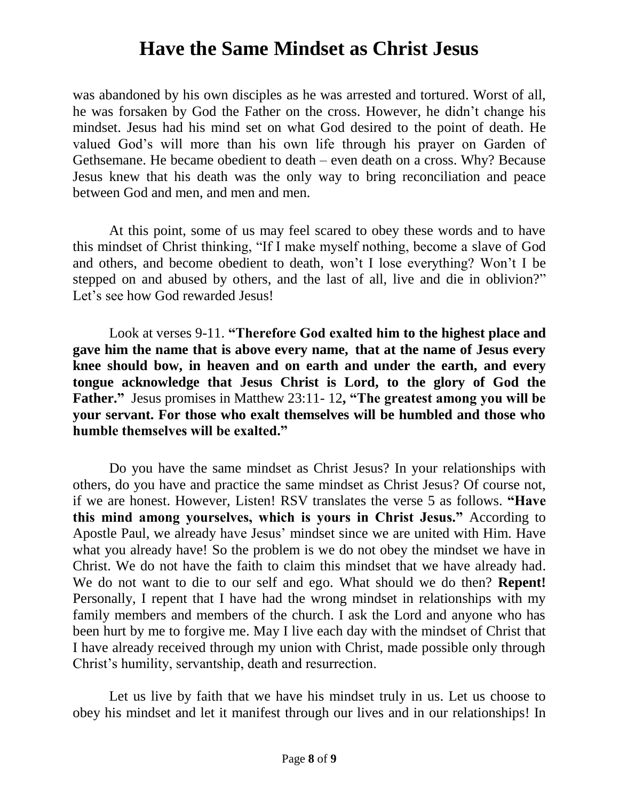was abandoned by his own disciples as he was arrested and tortured. Worst of all, he was forsaken by God the Father on the cross. However, he didn't change his mindset. Jesus had his mind set on what God desired to the point of death. He valued God's will more than his own life through his prayer on Garden of Gethsemane. He became obedient to death – even death on a cross. Why? Because Jesus knew that his death was the only way to bring reconciliation and peace between God and men, and men and men.

At this point, some of us may feel scared to obey these words and to have this mindset of Christ thinking, "If I make myself nothing, become a slave of God and others, and become obedient to death, won't I lose everything? Won't I be stepped on and abused by others, and the last of all, live and die in oblivion?" Let's see how God rewarded Jesus!

Look at verses 9-11. **"Therefore God exalted him to the highest place and gave him the name that is above every name, that at the name of Jesus every knee should bow, in heaven and on earth and under the earth, and every tongue acknowledge that Jesus Christ is Lord, to the glory of God the Father."** Jesus promises in Matthew 23:11- 12**, "The greatest among you will be your servant. For those who exalt themselves will be humbled and those who humble themselves will be exalted."**

Do you have the same mindset as Christ Jesus? In your relationships with others, do you have and practice the same mindset as Christ Jesus? Of course not, if we are honest. However, Listen! RSV translates the verse 5 as follows. **"Have this mind among yourselves, which is yours in Christ Jesus."** According to Apostle Paul, we already have Jesus' mindset since we are united with Him. Have what you already have! So the problem is we do not obey the mindset we have in Christ. We do not have the faith to claim this mindset that we have already had. We do not want to die to our self and ego. What should we do then? **Repent!** Personally, I repent that I have had the wrong mindset in relationships with my family members and members of the church. I ask the Lord and anyone who has been hurt by me to forgive me. May I live each day with the mindset of Christ that I have already received through my union with Christ, made possible only through Christ's humility, servantship, death and resurrection.

Let us live by faith that we have his mindset truly in us. Let us choose to obey his mindset and let it manifest through our lives and in our relationships! In